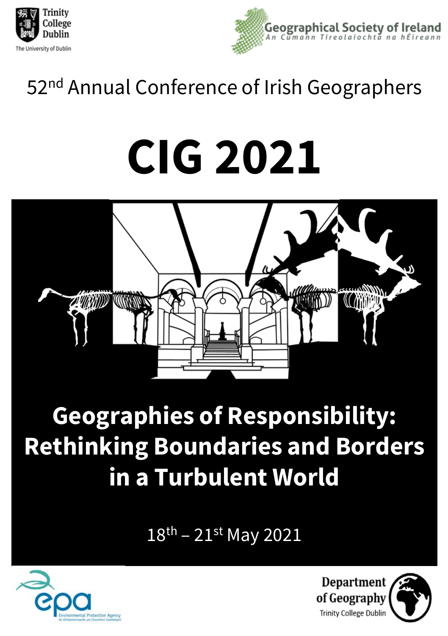



## 52<sup>nd</sup> Annual Conference of Irish Geographers

# **CIG 2021**



# **Geographies of Responsibility: Rethinking Boundaries and Borders in a Turbulent World**

18th – 21st May 2021



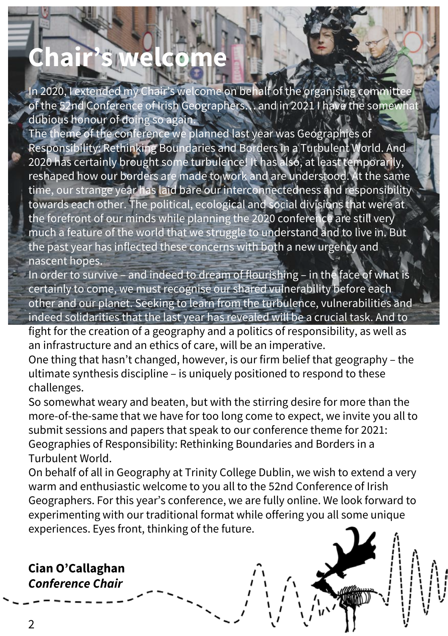# **Chair's welcome**

In 2020, I extended my Chair's welcome on behalf of the organising committee of the 52nd Conference of Irish Geographers... and in 2021 I have the somewhat dubious honour of doing so again.

The theme of the conference we planned last year was Geographies of Responsibility: Rethinking Boundaries and Borders in a Turbulent World. And 2020 has certainly brought some turbulence! It has also, at least temporarily, reshaped how our borders are made to work and are understood. At the same time, our strange year has laid bare our interconnectedness and responsibility towards each other. The political, ecological and social divisions that were at the forefront of our minds while planning the 2020 conference are still very much a feature of the world that we struggle to understand and to live in. But the past year has inflected these concerns with both a new urgency and nascent hopes.

In order to survive – and indeed to dream of flourishing – in the face of what is certainly to come, we must recognise our shared vulnerability before each other and our planet. Seeking to learn from the turbulence, vulnerabilities and indeed solidarities that the last year has revealed will be a crucial task. And to

fight for the creation of a geography and a politics of responsibility, as well as an infrastructure and an ethics of care, will be an imperative.

One thing that hasn't changed, however, is our firm belief that geography – the ultimate synthesis discipline – is uniquely positioned to respond to these challenges.

So somewhat weary and beaten, but with the stirring desire for more than the more-of-the-same that we have for too long come to expect, we invite you all to submit sessions and papers that speak to our conference theme for 2021: Geographies of Responsibility: Rethinking Boundaries and Borders in a Turbulent World.

On behalf of all in Geography at Trinity College Dublin, we wish to extend a very warm and enthusiastic welcome to you all to the 52nd Conference of Irish Geographers. For this year's conference, we are fully online. We look forward to experimenting with our traditional format while offering you all some unique experiences. Eyes front, thinking of the future.

#### **Cian O'Callaghan** *Conference Chair*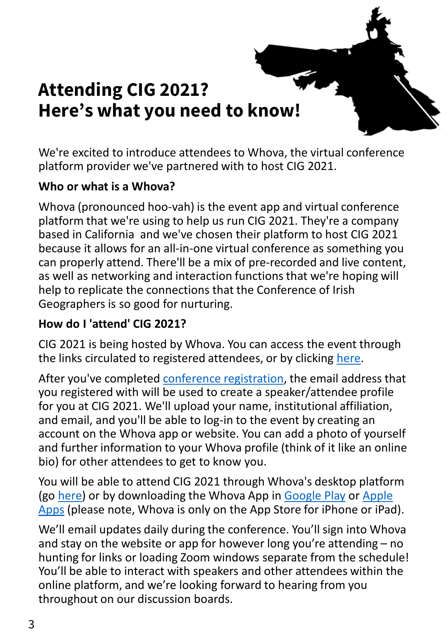### **Attending CIG 2021? Here's what you need to know!**

We're excited to introduce attendees to Whova, the virtual conference platform provider we've partnered with to host CIG 2021.

#### **Who or what is a Whova?**

Whova (pronounced hoo-vah) is the event app and virtual conference platform that we're using to help us run CIG 2021. They're a company based in California and we've chosen their platform to host CIG 2021 because it allows for an all-in-one virtual conference as something you can properly attend. There'll be a mix of pre-recorded and live content, as well as networking and interaction functions that we're hoping will help to replicate the connections that the Conference of Irish Geographers is so good for nurturing.

#### **How do I 'attend' CIG 2021?**

CIG 2021 is being hosted by Whova. You can access the event through the links circulated to registered attendees, or by clicking [here](https://whova.com/portal/webapp/acoig_202105/).

After you've completed [conference registration,](https://www.conferenceofirishgeographers.ie/cig2021-registration) the email address that you registered with will be used to create a speaker/attendee profile for you at CIG 2021. We'll upload your name, institutional affiliation, and email, and you'll be able to log-in to the event by creating an account on the Whova app or website. You can add a photo of yourself and further information to your Whova profile (think of it like an online bio) for other attendees to get to know you.

You will be able to attend CIG 2021 through Whova's desktop platform (go [here\)](https://whova.com/portal/webapp/acoig_202105/) or by downloading the Whova App in [Google Play](https://play.google.com/store/apps/details?id=com.whova.event&hl=en_IE&gl=US) or Apple Apps (please note, Whova [is only on the App Store for iPhone or iPad](https://apps.apple.com/us/app/whova-event-conference-app/id716979741)).

We'll email updates daily during the conference. You'll sign into Whova and stay on the website or app for however long you're attending – no hunting for links or loading Zoom windows separate from the schedule! You'll be able to interact with speakers and other attendees within the online platform, and we're looking forward to hearing from you throughout on our discussion boards.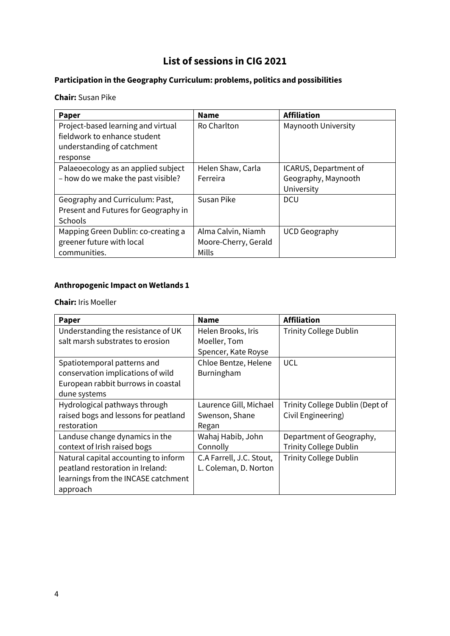#### **List of sessions in CIG 2021**

#### **Participation in the Geography Curriculum: problems, politics and possibilities**

**Chair:** Susan Pike

| Paper                                | <b>Name</b>          | <b>Affiliation</b>    |
|--------------------------------------|----------------------|-----------------------|
| Project-based learning and virtual   | Ro Charlton          | Maynooth University   |
| fieldwork to enhance student         |                      |                       |
| understanding of catchment           |                      |                       |
| response                             |                      |                       |
| Palaeoecology as an applied subject  | Helen Shaw, Carla    | ICARUS, Department of |
| - how do we make the past visible?   | Ferreira             | Geography, Maynooth   |
|                                      |                      | University            |
| Geography and Curriculum: Past,      | Susan Pike           | <b>DCU</b>            |
| Present and Futures for Geography in |                      |                       |
| <b>Schools</b>                       |                      |                       |
| Mapping Green Dublin: co-creating a  | Alma Calvin, Niamh   | <b>UCD Geography</b>  |
| greener future with local            | Moore-Cherry, Gerald |                       |
| communities.                         | Mills                |                       |

#### **Anthropogenic Impact on Wetlands 1**

**Chair:** Iris Moeller

| Paper                                | <b>Name</b>              | <b>Affiliation</b>              |
|--------------------------------------|--------------------------|---------------------------------|
| Understanding the resistance of UK   | Helen Brooks, Iris       | <b>Trinity College Dublin</b>   |
| salt marsh substrates to erosion     | Moeller, Tom             |                                 |
|                                      | Spencer, Kate Royse      |                                 |
| Spatiotemporal patterns and          | Chloe Bentze, Helene     | <b>UCL</b>                      |
| conservation implications of wild    | Burningham               |                                 |
| European rabbit burrows in coastal   |                          |                                 |
| dune systems                         |                          |                                 |
| Hydrological pathways through        | Laurence Gill, Michael   | Trinity College Dublin (Dept of |
| raised bogs and lessons for peatland | Swenson, Shane           | Civil Engineering)              |
| restoration                          | Regan                    |                                 |
| Landuse change dynamics in the       | Wahaj Habib, John        | Department of Geography,        |
| context of Irish raised bogs         | Connolly                 | <b>Trinity College Dublin</b>   |
| Natural capital accounting to inform | C.A Farrell, J.C. Stout, | <b>Trinity College Dublin</b>   |
| peatland restoration in Ireland:     | L. Coleman, D. Norton    |                                 |
| learnings from the INCASE catchment  |                          |                                 |
| approach                             |                          |                                 |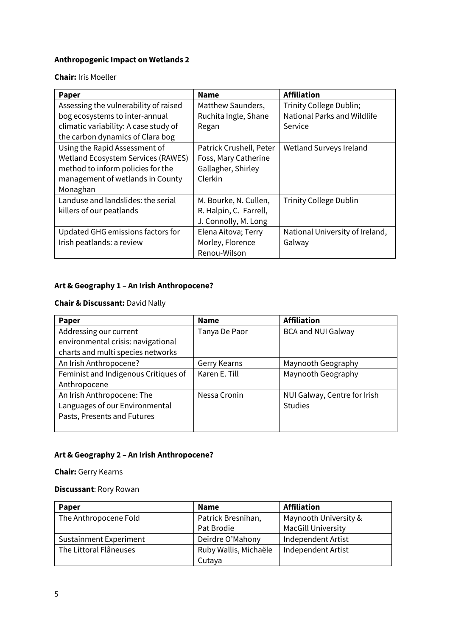#### **Anthropogenic Impact on Wetlands 2**

#### **Chair:** Iris Moeller

| Paper                                 | <b>Name</b>             | <b>Affiliation</b>              |
|---------------------------------------|-------------------------|---------------------------------|
| Assessing the vulnerability of raised | Matthew Saunders,       | Trinity College Dublin;         |
| bog ecosystems to inter-annual        | Ruchita Ingle, Shane    | National Parks and Wildlife     |
| climatic variability: A case study of | Regan                   | Service                         |
| the carbon dynamics of Clara bog      |                         |                                 |
| Using the Rapid Assessment of         | Patrick Crushell, Peter | Wetland Surveys Ireland         |
| Wetland Ecosystem Services (RAWES)    | Foss, Mary Catherine    |                                 |
| method to inform policies for the     | Gallagher, Shirley      |                                 |
| management of wetlands in County      | Clerkin                 |                                 |
| Monaghan                              |                         |                                 |
| Landuse and landslides: the serial    | M. Bourke, N. Cullen,   | <b>Trinity College Dublin</b>   |
| killers of our peatlands              | R. Halpin, C. Farrell,  |                                 |
|                                       | J. Connolly, M. Long    |                                 |
| Updated GHG emissions factors for     | Elena Aitova; Terry     | National University of Ireland, |
| Irish peatlands: a review             | Morley, Florence        | Galway                          |
|                                       | Renou-Wilson            |                                 |

#### **Art & Geography 1 – An Irish Anthropocene?**

#### **Chair & Discussant:** David Nally

| Paper                                | <b>Name</b>   | <b>Affiliation</b>           |
|--------------------------------------|---------------|------------------------------|
| Addressing our current               | Tanya De Paor | <b>BCA and NUI Galway</b>    |
| environmental crisis: navigational   |               |                              |
| charts and multi species networks    |               |                              |
| An Irish Anthropocene?               | Gerry Kearns  | Maynooth Geography           |
| Feminist and Indigenous Critiques of | Karen E. Till | Maynooth Geography           |
| Anthropocene                         |               |                              |
| An Irish Anthropocene: The           | Nessa Cronin  | NUI Galway, Centre for Irish |
| Languages of our Environmental       |               | <b>Studies</b>               |
| Pasts, Presents and Futures          |               |                              |
|                                      |               |                              |

#### **Art & Geography 2 – An Irish Anthropocene?**

#### **Chair:** Gerry Kearns

#### **Discussant**: Rory Rowan

| Paper                         | <b>Name</b>           | <b>Affiliation</b>        |
|-------------------------------|-----------------------|---------------------------|
| The Anthropocene Fold         | Patrick Bresnihan,    | Maynooth University &     |
|                               | Pat Brodie            | <b>MacGill University</b> |
| <b>Sustainment Experiment</b> | Deirdre O'Mahony      | Independent Artist        |
| The Littoral Flâneuses        | Ruby Wallis, Michaële | <b>Independent Artist</b> |
|                               | Cutaya                |                           |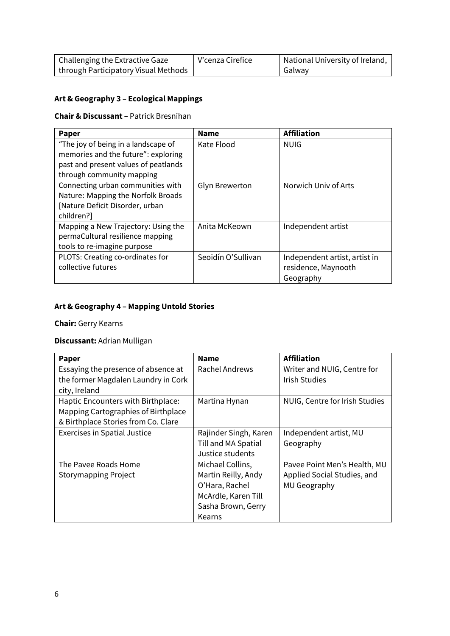| Challenging the Extractive Gaze      | V'cenza Cirefice | National University of Ireland, |
|--------------------------------------|------------------|---------------------------------|
| through Participatory Visual Methods |                  | Galway                          |

#### **Art & Geography 3 – Ecological Mappings**

#### **Chair & Discussant –** Patrick Bresnihan

| <b>Paper</b>                         | <b>Name</b>           | <b>Affiliation</b>            |
|--------------------------------------|-----------------------|-------------------------------|
| "The joy of being in a landscape of  | Kate Flood            | <b>NUIG</b>                   |
| memories and the future": exploring  |                       |                               |
| past and present values of peatlands |                       |                               |
| through community mapping            |                       |                               |
| Connecting urban communities with    | <b>Glyn Brewerton</b> | Norwich Univ of Arts          |
| Nature: Mapping the Norfolk Broads   |                       |                               |
| [Nature Deficit Disorder, urban]     |                       |                               |
| children?]                           |                       |                               |
| Mapping a New Trajectory: Using the  | Anita McKeown         | Independent artist            |
| permaCultural resilience mapping     |                       |                               |
| tools to re-imagine purpose          |                       |                               |
| PLOTS: Creating co-ordinates for     | Seoidín O'Sullivan    | Independent artist, artist in |
| collective futures                   |                       | residence, Maynooth           |
|                                      |                       | Geography                     |

#### **Art & Geography 4 – Mapping Untold Stories**

**Chair:** Gerry Kearns

#### **Discussant:** Adrian Mulligan

| Paper                               | <b>Name</b>           | <b>Affiliation</b>             |
|-------------------------------------|-----------------------|--------------------------------|
| Essaying the presence of absence at | Rachel Andrews        | Writer and NUIG, Centre for    |
| the former Magdalen Laundry in Cork |                       | <b>Irish Studies</b>           |
| city, Ireland                       |                       |                                |
| Haptic Encounters with Birthplace:  | Martina Hynan         | NUIG, Centre for Irish Studies |
| Mapping Cartographies of Birthplace |                       |                                |
| & Birthplace Stories from Co. Clare |                       |                                |
| <b>Exercises in Spatial Justice</b> | Rajinder Singh, Karen | Independent artist, MU         |
|                                     | Till and MA Spatial   | Geography                      |
|                                     | Justice students      |                                |
| The Pavee Roads Home                | Michael Collins,      | Pavee Point Men's Health, MU   |
| <b>Storymapping Project</b>         | Martin Reilly, Andy   | Applied Social Studies, and    |
|                                     | O'Hara, Rachel        | MU Geography                   |
|                                     | McArdle, Karen Till   |                                |
|                                     | Sasha Brown, Gerry    |                                |
|                                     | Kearns                |                                |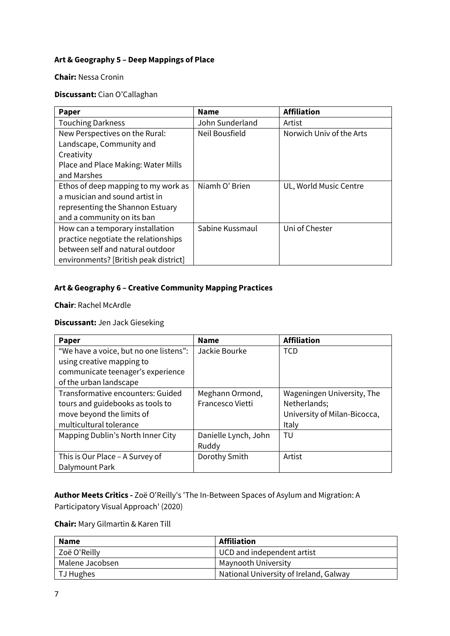#### **Art & Geography 5 – Deep Mappings of Place**

**Chair:** Nessa Cronin

#### **Discussant:** Cian O'Callaghan

| <b>Paper</b>                          | <b>Name</b>     | <b>Affiliation</b>       |
|---------------------------------------|-----------------|--------------------------|
| <b>Touching Darkness</b>              | John Sunderland | Artist                   |
| New Perspectives on the Rural:        | Neil Bousfield  | Norwich Univ of the Arts |
| Landscape, Community and              |                 |                          |
| Creativity                            |                 |                          |
| Place and Place Making: Water Mills   |                 |                          |
| and Marshes                           |                 |                          |
| Ethos of deep mapping to my work as   | Niamh O' Brien  | UL, World Music Centre   |
| a musician and sound artist in        |                 |                          |
| representing the Shannon Estuary      |                 |                          |
| and a community on its ban            |                 |                          |
| How can a temporary installation      | Sabine Kussmaul | Uni of Chester           |
| practice negotiate the relationships  |                 |                          |
| between self and natural outdoor      |                 |                          |
| environments? [British peak district] |                 |                          |

#### **Art & Geography 6 – Creative Community Mapping Practices**

**Chair**: Rachel McArdle

#### **Discussant:** Jen Jack Gieseking

| Paper                                  | <b>Name</b>             | <b>Affiliation</b>           |
|----------------------------------------|-------------------------|------------------------------|
| "We have a voice, but no one listens": | Jackie Bourke           | <b>TCD</b>                   |
| using creative mapping to              |                         |                              |
| communicate teenager's experience      |                         |                              |
| of the urban landscape                 |                         |                              |
| Transformative encounters: Guided      | Meghann Ormond,         | Wageningen University, The   |
| tours and guidebooks as tools to       | <b>Francesco Vietti</b> | Netherlands;                 |
| move beyond the limits of              |                         | University of Milan-Bicocca, |
| multicultural tolerance                |                         | Italy                        |
| Mapping Dublin's North Inner City      | Danielle Lynch, John    | TU                           |
|                                        | Ruddy                   |                              |
| This is Our Place - A Survey of        | Dorothy Smith           | Artist                       |
| Dalymount Park                         |                         |                              |

**Author Meets Critics -** Zoë O'Reilly's 'The In-Between Spaces of Asylum and Migration: A Participatory Visual Approach' (2020)

**Chair:** Mary Gilmartin & Karen Till

| <b>Name</b>     | Affiliation                            |
|-----------------|----------------------------------------|
| Zoë O'Reilly    | UCD and independent artist             |
| Malene Jacobsen | Maynooth University                    |
| l TJ Hughes     | National University of Ireland, Galway |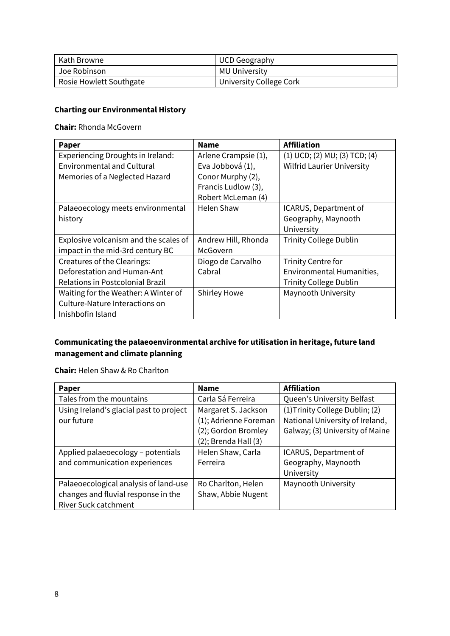| Kath Browne             | UCD Geography           |
|-------------------------|-------------------------|
| Joe Robinson            | MU University           |
| Rosie Howlett Southgate | University College Cork |

#### **Charting our Environmental History**

**Chair:** Rhonda McGovern

| Paper                                 | <b>Name</b>          | <b>Affiliation</b>                |
|---------------------------------------|----------------------|-----------------------------------|
| Experiencing Droughts in Ireland:     | Arlene Crampsie (1), | (1) UCD; (2) MU; (3) TCD; (4)     |
| <b>Environmental and Cultural</b>     | Eva Jobbová (1),     | <b>Wilfrid Laurier University</b> |
| Memories of a Neglected Hazard        | Conor Murphy (2),    |                                   |
|                                       | Francis Ludlow (3),  |                                   |
|                                       | Robert McLeman (4)   |                                   |
| Palaeoecology meets environmental     | <b>Helen Shaw</b>    | ICARUS, Department of             |
| history                               |                      | Geography, Maynooth               |
|                                       |                      | University                        |
| Explosive volcanism and the scales of | Andrew Hill, Rhonda  | <b>Trinity College Dublin</b>     |
| impact in the mid-3rd century BC      | McGovern             |                                   |
| Creatures of the Clearings:           | Diogo de Carvalho    | <b>Trinity Centre for</b>         |
| Deforestation and Human-Ant           | Cabral               | Environmental Humanities,         |
| Relations in Postcolonial Brazil      |                      | <b>Trinity College Dublin</b>     |
| Waiting for the Weather: A Winter of  | <b>Shirley Howe</b>  | Maynooth University               |
| Culture-Nature Interactions on        |                      |                                   |
| Inishbofin Island                     |                      |                                   |

#### **Communicating the palaeoenvironmental archive for utilisation in heritage, future land management and climate planning**

#### **Chair:** Helen Shaw & Ro Charlton

| Paper                                   | <b>Name</b>               | <b>Affiliation</b>              |
|-----------------------------------------|---------------------------|---------------------------------|
| Tales from the mountains                | Carla Sá Ferreira         | Queen's University Belfast      |
| Using Ireland's glacial past to project | Margaret S. Jackson       | (1) Trinity College Dublin; (2) |
| our future                              | (1); Adrienne Foreman     | National University of Ireland, |
|                                         | (2); Gordon Bromley       | Galway; (3) University of Maine |
|                                         | $(2)$ ; Brenda Hall $(3)$ |                                 |
| Applied palaeoecology - potentials      | Helen Shaw, Carla         | ICARUS, Department of           |
| and communication experiences           | Ferreira                  | Geography, Maynooth             |
|                                         |                           | University                      |
| Palaeoecological analysis of land-use   | Ro Charlton, Helen        | Maynooth University             |
| changes and fluvial response in the     | Shaw, Abbie Nugent        |                                 |
| <b>River Suck catchment</b>             |                           |                                 |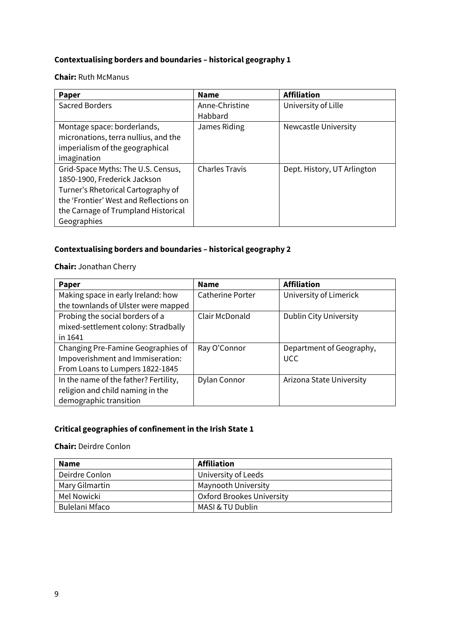#### **Contextualising borders and boundaries – historical geography 1**

#### **Chair:** Ruth McManus

| Paper                                  | <b>Name</b>           | <b>Affiliation</b>          |
|----------------------------------------|-----------------------|-----------------------------|
| Sacred Borders                         | Anne-Christine        | University of Lille         |
|                                        | Habbard               |                             |
| Montage space: borderlands,            | James Riding          | Newcastle University        |
| micronations, terra nullius, and the   |                       |                             |
| imperialism of the geographical        |                       |                             |
| imagination                            |                       |                             |
| Grid-Space Myths: The U.S. Census,     | <b>Charles Travis</b> | Dept. History, UT Arlington |
| 1850-1900, Frederick Jackson           |                       |                             |
| Turner's Rhetorical Cartography of     |                       |                             |
| the 'Frontier' West and Reflections on |                       |                             |
| the Carnage of Trumpland Historical    |                       |                             |
| Geographies                            |                       |                             |

#### **Contextualising borders and boundaries – historical geography 2**

#### **Chair:** Jonathan Cherry

| Paper                                 | <b>Name</b>             | <b>Affiliation</b>            |
|---------------------------------------|-------------------------|-------------------------------|
| Making space in early Ireland: how    | <b>Catherine Porter</b> | University of Limerick        |
| the townlands of Ulster were mapped   |                         |                               |
| Probing the social borders of a       | Clair McDonald          | <b>Dublin City University</b> |
| mixed-settlement colony: Stradbally   |                         |                               |
| in 1641                               |                         |                               |
| Changing Pre-Famine Geographies of    | Ray O'Connor            | Department of Geography,      |
| Impoverishment and Immiseration:      |                         | <b>UCC</b>                    |
| From Loans to Lumpers 1822-1845       |                         |                               |
| In the name of the father? Fertility, | Dylan Connor            | Arizona State University      |
| religion and child naming in the      |                         |                               |
| demographic transition                |                         |                               |

#### **Critical geographies of confinement in the Irish State 1**

#### **Chair:** Deirdre Conlon

| <b>Name</b>    | <b>Affiliation</b>        |
|----------------|---------------------------|
| Deirdre Conlon | University of Leeds       |
| Mary Gilmartin | Maynooth University       |
| Mel Nowicki    | Oxford Brookes University |
| Bulelani Mfaco | MASI & TU Dublin          |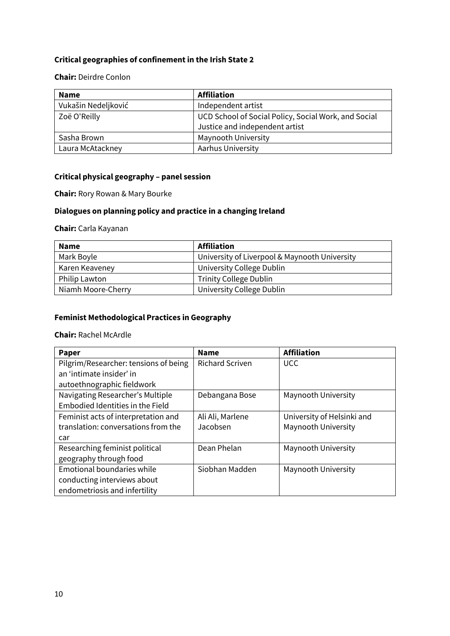#### **Critical geographies of confinement in the Irish State 2**

#### **Chair:** Deirdre Conlon

| <b>Name</b>         | <b>Affiliation</b>                                   |
|---------------------|------------------------------------------------------|
| Vukašin Nedeljković | Independent artist                                   |
| Zoë O'Reilly        | UCD School of Social Policy, Social Work, and Social |
|                     | Justice and independent artist                       |
| Sasha Brown         | <b>Maynooth University</b>                           |
| Laura McAtackney    | Aarhus University                                    |

#### **Critical physical geography – panel session**

**Chair:** Rory Rowan & Mary Bourke

#### **Dialogues on planning policy and practice in a changing Ireland**

**Chair:** Carla Kayanan

| <b>Name</b>        | <b>Affiliation</b>                            |
|--------------------|-----------------------------------------------|
| Mark Boyle         | University of Liverpool & Maynooth University |
| Karen Keaveney     | University College Dublin                     |
| Philip Lawton      | <b>Trinity College Dublin</b>                 |
| Niamh Moore-Cherry | University College Dublin                     |

#### **Feminist Methodological Practices in Geography**

#### **Chair:** Rachel McArdle

| Paper                                 | <b>Name</b>            | <b>Affiliation</b>         |
|---------------------------------------|------------------------|----------------------------|
| Pilgrim/Researcher: tensions of being | <b>Richard Scriven</b> | <b>UCC</b>                 |
| an 'intimate insider' in              |                        |                            |
| autoethnographic fieldwork            |                        |                            |
| Navigating Researcher's Multiple      | Debangana Bose         | Maynooth University        |
| Embodied Identities in the Field      |                        |                            |
| Feminist acts of interpretation and   | Ali Ali, Marlene       | University of Helsinki and |
| translation: conversations from the   | Jacobsen               | Maynooth University        |
| car                                   |                        |                            |
| Researching feminist political        | Dean Phelan            | Maynooth University        |
| geography through food                |                        |                            |
| Emotional boundaries while            | Siobhan Madden         | Maynooth University        |
| conducting interviews about           |                        |                            |
| endometriosis and infertility         |                        |                            |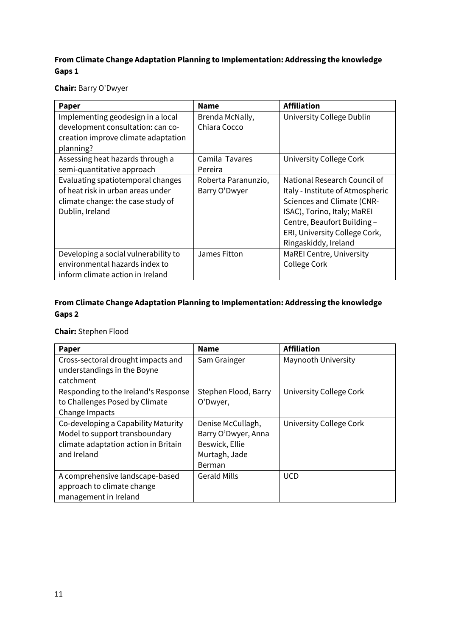#### **From Climate Change Adaptation Planning to Implementation: Addressing the knowledge Gaps 1**

**Chair:** Barry O'Dwyer

| Paper                                                                                                                          | <b>Name</b>                          | <b>Affiliation</b>                                                                                                                                                                                                           |
|--------------------------------------------------------------------------------------------------------------------------------|--------------------------------------|------------------------------------------------------------------------------------------------------------------------------------------------------------------------------------------------------------------------------|
| Implementing geodesign in a local<br>development consultation: can co-<br>creation improve climate adaptation<br>planning?     | Brenda McNally,<br>Chiara Cocco      | University College Dublin                                                                                                                                                                                                    |
| Assessing heat hazards through a<br>semi-quantitative approach                                                                 | Camila Tavares<br>Pereira            | University College Cork                                                                                                                                                                                                      |
| Evaluating spatiotemporal changes<br>of heat risk in urban areas under<br>climate change: the case study of<br>Dublin, Ireland | Roberta Paranunzio,<br>Barry O'Dwyer | National Research Council of<br>Italy - Institute of Atmospheric<br><b>Sciences and Climate (CNR-</b><br>ISAC), Torino, Italy; MaREI<br>Centre, Beaufort Building -<br>ERI, University College Cork,<br>Ringaskiddy, Ireland |
| Developing a social vulnerability to<br>environmental hazards index to<br>inform climate action in Ireland                     | James Fitton                         | <b>MaREI Centre, University</b><br>College Cork                                                                                                                                                                              |

#### **From Climate Change Adaptation Planning to Implementation: Addressing the knowledge Gaps 2**

#### **Chair:** Stephen Flood

| <b>Paper</b>                                                      | <b>Name</b>          | <b>Affiliation</b>      |
|-------------------------------------------------------------------|----------------------|-------------------------|
| Cross-sectoral drought impacts and<br>understandings in the Boyne | Sam Grainger         | Maynooth University     |
| catchment                                                         |                      |                         |
| Responding to the Ireland's Response                              | Stephen Flood, Barry | University College Cork |
| to Challenges Posed by Climate                                    | O'Dwyer,             |                         |
| Change Impacts                                                    |                      |                         |
| Co-developing a Capability Maturity                               | Denise McCullagh,    | University College Cork |
| Model to support transboundary                                    | Barry O'Dwyer, Anna  |                         |
| climate adaptation action in Britain                              | Beswick, Ellie       |                         |
| and Ireland                                                       | Murtagh, Jade        |                         |
|                                                                   | Berman               |                         |
| A comprehensive landscape-based                                   | <b>Gerald Mills</b>  | <b>UCD</b>              |
| approach to climate change                                        |                      |                         |
| management in Ireland                                             |                      |                         |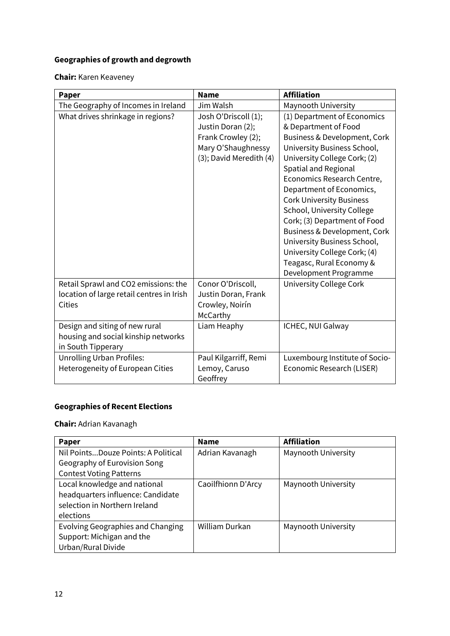#### **Geographies of growth and degrowth**

**Chair:** Karen Keaveney

| Paper                                     | <b>Name</b>             | <b>Affiliation</b>              |
|-------------------------------------------|-------------------------|---------------------------------|
| The Geography of Incomes in Ireland       | Jim Walsh               | Maynooth University             |
| What drives shrinkage in regions?         | Josh O'Driscoll (1);    | (1) Department of Economics     |
|                                           | Justin Doran (2);       | & Department of Food            |
|                                           | Frank Crowley (2);      | Business & Development, Cork    |
|                                           | Mary O'Shaughnessy      | University Business School,     |
|                                           | (3); David Meredith (4) | University College Cork; (2)    |
|                                           |                         | Spatial and Regional            |
|                                           |                         | Economics Research Centre,      |
|                                           |                         | Department of Economics,        |
|                                           |                         | <b>Cork University Business</b> |
|                                           |                         | School, University College      |
|                                           |                         | Cork; (3) Department of Food    |
|                                           |                         | Business & Development, Cork    |
|                                           |                         | University Business School,     |
|                                           |                         | University College Cork; (4)    |
|                                           |                         | Teagasc, Rural Economy &        |
|                                           |                         | Development Programme           |
| Retail Sprawl and CO2 emissions: the      | Conor O'Driscoll,       | University College Cork         |
| location of large retail centres in Irish | Justin Doran, Frank     |                                 |
| <b>Cities</b>                             | Crowley, Noirín         |                                 |
|                                           | McCarthy                |                                 |
| Design and siting of new rural            | Liam Heaphy             | ICHEC, NUI Galway               |
| housing and social kinship networks       |                         |                                 |
| in South Tipperary                        |                         |                                 |
| <b>Unrolling Urban Profiles:</b>          | Paul Kilgarriff, Remi   | Luxembourg Institute of Socio-  |
| Heterogeneity of European Cities          | Lemoy, Caruso           | Economic Research (LISER)       |
|                                           | Geoffrey                |                                 |

#### **Geographies of Recent Elections**

**Chair:** Adrian Kavanagh

| Paper                               | <b>Name</b>        | <b>Affiliation</b>  |
|-------------------------------------|--------------------|---------------------|
| Nil PointsDouze Points: A Political | Adrian Kavanagh    | Maynooth University |
| Geography of Eurovision Song        |                    |                     |
| <b>Contest Voting Patterns</b>      |                    |                     |
| Local knowledge and national        | Caoilfhionn D'Arcy | Maynooth University |
| headquarters influence: Candidate   |                    |                     |
| selection in Northern Ireland       |                    |                     |
| elections                           |                    |                     |
| Evolving Geographies and Changing   | William Durkan     | Maynooth University |
| Support: Michigan and the           |                    |                     |
| Urban/Rural Divide                  |                    |                     |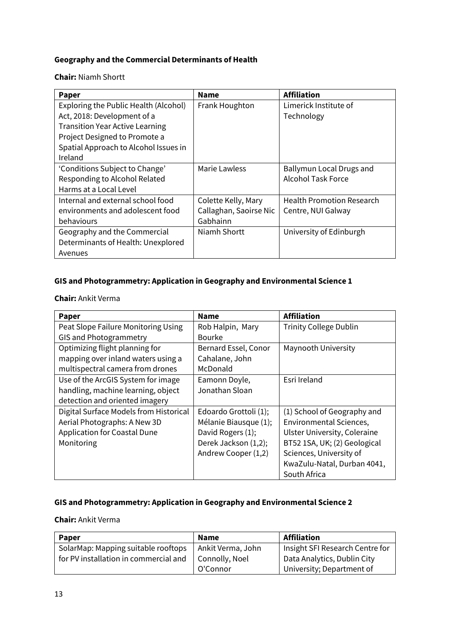#### **Geography and the Commercial Determinants of Health**

**Chair:** Niamh Shortt

| <b>Paper</b>                           | <b>Name</b>            | <b>Affiliation</b>               |
|----------------------------------------|------------------------|----------------------------------|
| Exploring the Public Health (Alcohol)  | Frank Houghton         | Limerick Institute of            |
| Act, 2018: Development of a            |                        | Technology                       |
| <b>Transition Year Active Learning</b> |                        |                                  |
| Project Designed to Promote a          |                        |                                  |
| Spatial Approach to Alcohol Issues in  |                        |                                  |
| Ireland                                |                        |                                  |
| 'Conditions Subject to Change'         | Marie Lawless          | Ballymun Local Drugs and         |
| Responding to Alcohol Related          |                        | Alcohol Task Force               |
| Harms at a Local Level                 |                        |                                  |
| Internal and external school food      | Colette Kelly, Mary    | <b>Health Promotion Research</b> |
| environments and adolescent food       | Callaghan, Saoirse Nic | Centre, NUI Galway               |
| behaviours                             | Gabhainn               |                                  |
| Geography and the Commercial           | Niamh Shortt           | University of Edinburgh          |
| Determinants of Health: Unexplored     |                        |                                  |
| Avenues                                |                        |                                  |

#### **GIS and Photogrammetry: Application in Geography and Environmental Science 1**

**Chair:** Ankit Verma

| Paper                                  | <b>Name</b>           | <b>Affiliation</b>            |
|----------------------------------------|-----------------------|-------------------------------|
| Peat Slope Failure Monitoring Using    | Rob Halpin, Mary      | <b>Trinity College Dublin</b> |
| <b>GIS and Photogrammetry</b>          | Bourke                |                               |
| Optimizing flight planning for         | Bernard Essel, Conor  | Maynooth University           |
| mapping over inland waters using a     | Cahalane, John        |                               |
| multispectral camera from drones       | McDonald              |                               |
| Use of the ArcGIS System for image     | Eamonn Doyle,         | Esri Ireland                  |
| handling, machine learning, object     | Jonathan Sloan        |                               |
| detection and oriented imagery         |                       |                               |
| Digital Surface Models from Historical | Edoardo Grottoli (1); | (1) School of Geography and   |
| Aerial Photographs: A New 3D           | Mélanie Biausque (1); | Environmental Sciences,       |
| <b>Application for Coastal Dune</b>    | David Rogers (1);     | Ulster University, Coleraine  |
| Monitoring                             | Derek Jackson (1,2);  | BT52 1SA, UK; (2) Geological  |
|                                        | Andrew Cooper (1,2)   | Sciences, University of       |
|                                        |                       | KwaZulu-Natal, Durban 4041,   |
|                                        |                       | South Africa                  |

#### **GIS and Photogrammetry: Application in Geography and Environmental Science 2**

#### **Chair:** Ankit Verma

| Paper                                 | <b>Name</b>       | <b>Affiliation</b>              |
|---------------------------------------|-------------------|---------------------------------|
| SolarMap: Mapping suitable rooftops   | Ankit Verma, John | Insight SFI Research Centre for |
| for PV installation in commercial and | Connolly, Noel    | Data Analytics, Dublin City     |
|                                       | O'Connor          | University; Department of       |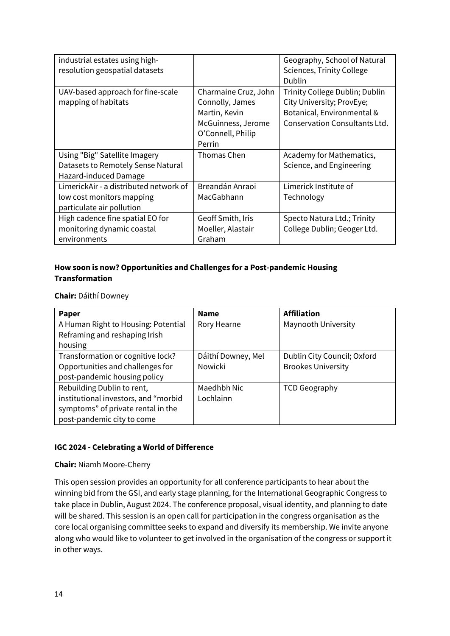| industrial estates using high-<br>resolution geospatial datasets |                      | Geography, School of Natural<br><b>Sciences, Trinity College</b> |
|------------------------------------------------------------------|----------------------|------------------------------------------------------------------|
|                                                                  |                      | Dublin                                                           |
| UAV-based approach for fine-scale                                | Charmaine Cruz, John | Trinity College Dublin; Dublin                                   |
| mapping of habitats                                              | Connolly, James      | City University; ProvEye;                                        |
|                                                                  | Martin, Kevin        | Botanical, Environmental &                                       |
|                                                                  | McGuinness, Jerome   | Conservation Consultants Ltd.                                    |
|                                                                  | O'Connell, Philip    |                                                                  |
|                                                                  | Perrin               |                                                                  |
| Using "Big" Satellite Imagery                                    | Thomas Chen          | Academy for Mathematics,                                         |
| Datasets to Remotely Sense Natural                               |                      | Science, and Engineering                                         |
| Hazard-induced Damage                                            |                      |                                                                  |
| LimerickAir - a distributed network of                           | Breandán Anraoi      | Limerick Institute of                                            |
| low cost monitors mapping                                        | MacGabhann           | Technology                                                       |
| particulate air pollution                                        |                      |                                                                  |
| High cadence fine spatial EO for                                 | Geoff Smith, Iris    | Specto Natura Ltd.; Trinity                                      |
| monitoring dynamic coastal                                       | Moeller, Alastair    | College Dublin; Geoger Ltd.                                      |
| environments                                                     | Graham               |                                                                  |

#### **How soon is now? Opportunities and Challenges for a Post-pandemic Housing Transformation**

**Chair:** Dáithí Downey

| Paper                                | <b>Name</b>        | <b>Affiliation</b>          |
|--------------------------------------|--------------------|-----------------------------|
| A Human Right to Housing: Potential  | Rory Hearne        | Maynooth University         |
| Reframing and reshaping Irish        |                    |                             |
| housing                              |                    |                             |
| Transformation or cognitive lock?    | Dáithí Downey, Mel | Dublin City Council; Oxford |
| Opportunities and challenges for     | <b>Nowicki</b>     | <b>Brookes University</b>   |
| post-pandemic housing policy         |                    |                             |
| Rebuilding Dublin to rent,           | Maedhbh Nic        | <b>TCD Geography</b>        |
| institutional investors, and "morbid | Lochlainn          |                             |
| symptoms" of private rental in the   |                    |                             |
| post-pandemic city to come           |                    |                             |

#### **IGC 2024 - Celebrating a World of Difference**

#### **Chair:** Niamh Moore-Cherry

This open session provides an opportunity for all conference participants to hear about the winning bid from the GSI, and early stage planning, for the International Geographic Congress to take place in Dublin, August 2024. The conference proposal, visual identity, and planning to date will be shared. This session is an open call for participation in the congress organisation as the core local organising committee seeks to expand and diversify its membership. We invite anyone along who would like to volunteer to get involved in the organisation of the congress or support it in other ways.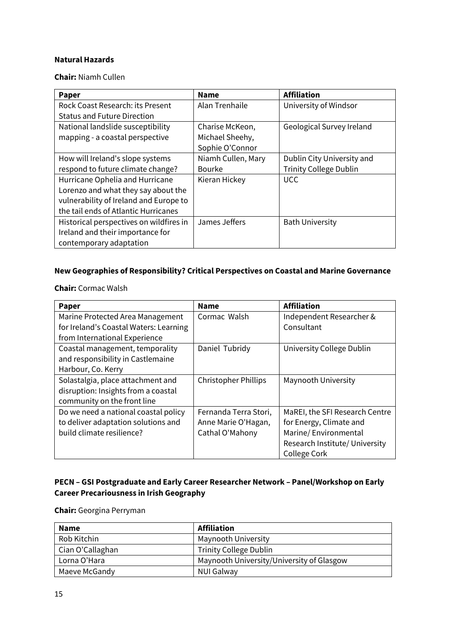#### **Natural Hazards**

**Chair:** Niamh Cullen

| Paper                                   | <b>Name</b>        | <b>Affiliation</b>            |
|-----------------------------------------|--------------------|-------------------------------|
| Rock Coast Research: its Present        | Alan Trenhaile     | University of Windsor         |
| <b>Status and Future Direction</b>      |                    |                               |
| National landslide susceptibility       | Charise McKeon,    | Geological Survey Ireland     |
| mapping - a coastal perspective         | Michael Sheehy,    |                               |
|                                         | Sophie O'Connor    |                               |
| How will Ireland's slope systems        | Niamh Cullen, Mary | Dublin City University and    |
| respond to future climate change?       | <b>Bourke</b>      | <b>Trinity College Dublin</b> |
| Hurricane Ophelia and Hurricane         | Kieran Hickey      | <b>UCC</b>                    |
| Lorenzo and what they say about the     |                    |                               |
| vulnerability of Ireland and Europe to  |                    |                               |
| the tail ends of Atlantic Hurricanes    |                    |                               |
| Historical perspectives on wildfires in | James Jeffers      | <b>Bath University</b>        |
| Ireland and their importance for        |                    |                               |
| contemporary adaptation                 |                    |                               |

#### **New Geographies of Responsibility? Critical Perspectives on Coastal and Marine Governance**

**Chair:** Cormac Walsh

| Paper                                  | <b>Name</b>                 | <b>Affiliation</b>             |
|----------------------------------------|-----------------------------|--------------------------------|
| Marine Protected Area Management       | Cormac Walsh                | Independent Researcher &       |
| for Ireland's Coastal Waters: Learning |                             | Consultant                     |
| from International Experience          |                             |                                |
| Coastal management, temporality        | Daniel Tubridy              | University College Dublin      |
| and responsibility in Castlemaine      |                             |                                |
| Harbour, Co. Kerry                     |                             |                                |
| Solastalgia, place attachment and      | <b>Christopher Phillips</b> | Maynooth University            |
| disruption: Insights from a coastal    |                             |                                |
| community on the front line            |                             |                                |
| Do we need a national coastal policy   | Fernanda Terra Stori,       | MaREI, the SFI Research Centre |
| to deliver adaptation solutions and    | Anne Marie O'Hagan,         | for Energy, Climate and        |
| build climate resilience?              | Cathal O'Mahony             | Marine/Environmental           |
|                                        |                             | Research Institute/ University |
|                                        |                             | College Cork                   |

#### **PECN – GSI Postgraduate and Early Career Researcher Network – Panel/Workshop on Early Career Precariousness in Irish Geography**

**Chair:** Georgina Perryman

| <b>Name</b>      | <b>Affiliation</b>                        |
|------------------|-------------------------------------------|
| Rob Kitchin      | <b>Maynooth University</b>                |
| Cian O'Callaghan | <b>Trinity College Dublin</b>             |
| Lorna O'Hara     | Maynooth University/University of Glasgow |
| Maeve McGandy    | <b>NUI Galway</b>                         |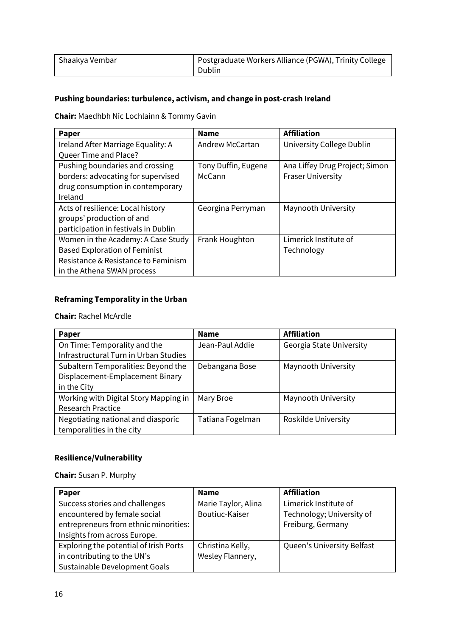| Shaakya Vembar | Postgraduate Workers Alliance (PGWA), Trinity College |
|----------------|-------------------------------------------------------|
|                | Dublin                                                |

#### **Pushing boundaries: turbulence, activism, and change in post-crash Ireland**

**Chair:** Maedhbh Nic Lochlainn & Tommy Gavin

| <b>Paper</b>                         | <b>Name</b>         | <b>Affiliation</b>             |
|--------------------------------------|---------------------|--------------------------------|
| Ireland After Marriage Equality: A   | Andrew McCartan     | University College Dublin      |
| Queer Time and Place?                |                     |                                |
| Pushing boundaries and crossing      | Tony Duffin, Eugene | Ana Liffey Drug Project; Simon |
| borders: advocating for supervised   | McCann              | <b>Fraser University</b>       |
| drug consumption in contemporary     |                     |                                |
| Ireland                              |                     |                                |
| Acts of resilience: Local history    | Georgina Perryman   | Maynooth University            |
| groups' production of and            |                     |                                |
| participation in festivals in Dublin |                     |                                |
| Women in the Academy: A Case Study   | Frank Houghton      | Limerick Institute of          |
| <b>Based Exploration of Feminist</b> |                     | Technology                     |
| Resistance & Resistance to Feminism  |                     |                                |
| in the Athena SWAN process           |                     |                                |

#### **Reframing Temporality in the Urban**

#### **Chair:** Rachel McArdle

| Paper                                 | <b>Name</b>      | <b>Affiliation</b>       |
|---------------------------------------|------------------|--------------------------|
| On Time: Temporality and the          | Jean-Paul Addie  | Georgia State University |
| Infrastructural Turn in Urban Studies |                  |                          |
| Subaltern Temporalities: Beyond the   | Debangana Bose   | Maynooth University      |
| Displacement-Emplacement Binary       |                  |                          |
| in the City                           |                  |                          |
| Working with Digital Story Mapping in | Mary Broe        | Maynooth University      |
| <b>Research Practice</b>              |                  |                          |
| Negotiating national and diasporic    | Tatiana Fogelman | Roskilde University      |
| temporalities in the city             |                  |                          |

#### **Resilience/Vulnerability**

**Chair:** Susan P. Murphy

| Paper                                  | <b>Name</b>         | <b>Affiliation</b>         |
|----------------------------------------|---------------------|----------------------------|
| Success stories and challenges         | Marie Taylor, Alina | Limerick Institute of      |
| encountered by female social           | Boutiuc-Kaiser      | Technology; University of  |
| entrepreneurs from ethnic minorities:  |                     | Freiburg, Germany          |
| Insights from across Europe.           |                     |                            |
| Exploring the potential of Irish Ports | Christina Kelly,    | Queen's University Belfast |
| in contributing to the UN's            | Wesley Flannery,    |                            |
| Sustainable Development Goals          |                     |                            |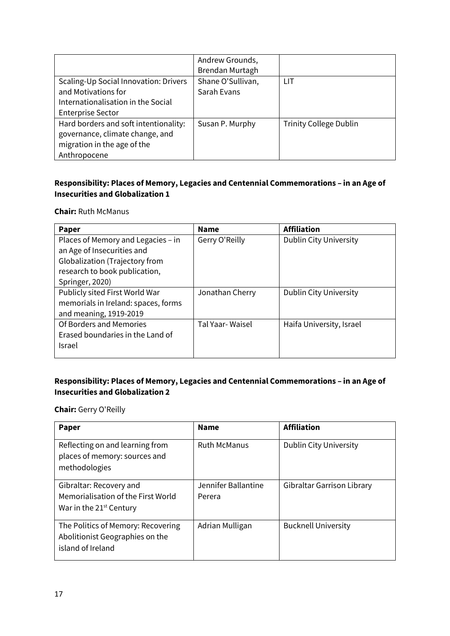|                                                                                                                                | Andrew Grounds,<br>Brendan Murtagh |                               |
|--------------------------------------------------------------------------------------------------------------------------------|------------------------------------|-------------------------------|
| Scaling-Up Social Innovation: Drivers<br>and Motivations for<br>Internationalisation in the Social<br><b>Enterprise Sector</b> | Shane O'Sullivan,<br>Sarah Evans   | l IT                          |
| Hard borders and soft intentionality:<br>governance, climate change, and<br>migration in the age of the<br>Anthropocene        | Susan P. Murphy                    | <b>Trinity College Dublin</b> |

#### **Responsibility: Places of Memory, Legacies and Centennial Commemorations – in an Age of Insecurities and Globalization 1**

#### **Chair:** Ruth McManus

| <b>Paper</b>                        | <b>Name</b>     | <b>Affiliation</b>            |
|-------------------------------------|-----------------|-------------------------------|
| Places of Memory and Legacies - in  | Gerry O'Reilly  | <b>Dublin City University</b> |
| an Age of Insecurities and          |                 |                               |
| Globalization (Trajectory from      |                 |                               |
| research to book publication,       |                 |                               |
| Springer, 2020)                     |                 |                               |
| Publicly sited First World War      | Jonathan Cherry | Dublin City University        |
| memorials in Ireland: spaces, forms |                 |                               |
| and meaning, 1919-2019              |                 |                               |
| Of Borders and Memories             | Tal Yaar-Waisel | Haifa University, Israel      |
| Erased boundaries in the Land of    |                 |                               |
| <b>Israel</b>                       |                 |                               |
|                                     |                 |                               |

#### **Responsibility: Places of Memory, Legacies and Centennial Commemorations – in an Age of Insecurities and Globalization 2**

**Chair:** Gerry O'Reilly

| <b>Paper</b>                                                                                         | <b>Name</b>                   | <b>Affiliation</b>            |
|------------------------------------------------------------------------------------------------------|-------------------------------|-------------------------------|
| Reflecting on and learning from<br>places of memory: sources and<br>methodologies                    | <b>Ruth McManus</b>           | <b>Dublin City University</b> |
| Gibraltar: Recovery and<br>Memorialisation of the First World<br>War in the 21 <sup>st</sup> Century | Jennifer Ballantine<br>Perera | Gibraltar Garrison Library    |
| The Politics of Memory: Recovering<br>Abolitionist Geographies on the<br>island of Ireland           | Adrian Mulligan               | <b>Bucknell University</b>    |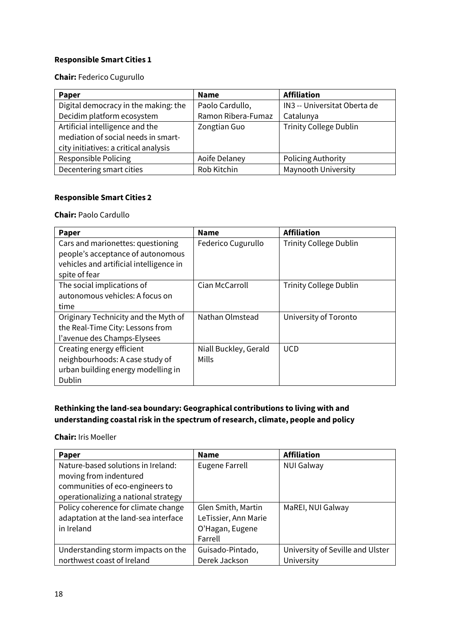#### **Responsible Smart Cities 1**

#### **Chair:** Federico Cugurullo

| Paper                                 | <b>Name</b>        | <b>Affiliation</b>            |
|---------------------------------------|--------------------|-------------------------------|
| Digital democracy in the making: the  | Paolo Cardullo,    | IN3 -- Universitat Oberta de  |
| Decidim platform ecosystem            | Ramon Ribera-Fumaz | Catalunya                     |
| Artificial intelligence and the       | Zongtian Guo       | <b>Trinity College Dublin</b> |
| mediation of social needs in smart-   |                    |                               |
| city initiatives: a critical analysis |                    |                               |
| Responsible Policing                  | Aoife Delaney      | Policing Authority            |
| Decentering smart cities              | Rob Kitchin        | Maynooth University           |

#### **Responsible Smart Cities 2**

#### **Chair:** Paolo Cardullo

| Paper                                                                  | <b>Name</b>           | <b>Affiliation</b>            |
|------------------------------------------------------------------------|-----------------------|-------------------------------|
| Cars and marionettes: questioning<br>people's acceptance of autonomous | Federico Cugurullo    | <b>Trinity College Dublin</b> |
| vehicles and artificial intelligence in                                |                       |                               |
| spite of fear                                                          |                       |                               |
| The social implications of                                             | Cian McCarroll        | <b>Trinity College Dublin</b> |
| autonomous vehicles: A focus on                                        |                       |                               |
| time                                                                   |                       |                               |
| Originary Technicity and the Myth of                                   | Nathan Olmstead       | University of Toronto         |
| the Real-Time City: Lessons from                                       |                       |                               |
| l'avenue des Champs-Elysees                                            |                       |                               |
| Creating energy efficient                                              | Niall Buckley, Gerald | <b>UCD</b>                    |
| neighbourhoods: A case study of                                        | Mills                 |                               |
| urban building energy modelling in                                     |                       |                               |
| Dublin                                                                 |                       |                               |

#### **Rethinking the land-sea boundary: Geographical contributions to living with and understanding coastal risk in the spectrum of research, climate, people and policy**

**Chair:** Iris Moeller

| Paper                                | <b>Name</b>           | <b>Affiliation</b>               |
|--------------------------------------|-----------------------|----------------------------------|
| Nature-based solutions in Ireland:   | <b>Eugene Farrell</b> | <b>NUI Galway</b>                |
| moving from indentured               |                       |                                  |
| communities of eco-engineers to      |                       |                                  |
| operationalizing a national strategy |                       |                                  |
| Policy coherence for climate change  | Glen Smith, Martin    | MaREI, NUI Galway                |
| adaptation at the land-sea interface | LeTissier, Ann Marie  |                                  |
| in Ireland                           | O'Hagan, Eugene       |                                  |
|                                      | Farrell               |                                  |
| Understanding storm impacts on the   | Guisado-Pintado,      | University of Seville and Ulster |
| northwest coast of Ireland           | Derek Jackson         | University                       |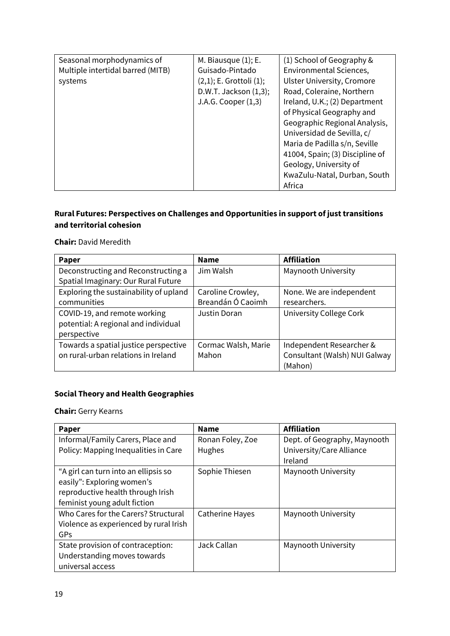| Seasonal morphodynamics of<br>Multiple intertidal barred (MITB)<br>systems | M. Biausque $(1)$ ; E.<br>Guisado-Pintado<br>$(2,1)$ ; E. Grottoli $(1)$ ;<br>D.W.T. Jackson (1,3);<br>J.A.G. Cooper $(1,3)$ | (1) School of Geography &<br><b>Environmental Sciences,</b><br><b>Ulster University, Cromore</b><br>Road, Coleraine, Northern<br>Ireland, U.K.; (2) Department<br>of Physical Geography and<br>Geographic Regional Analysis,<br>Universidad de Sevilla, c/<br>Maria de Padilla s/n, Seville<br>41004, Spain; (3) Discipline of<br>Geology, University of<br>KwaZulu-Natal, Durban, South<br>Africa |
|----------------------------------------------------------------------------|------------------------------------------------------------------------------------------------------------------------------|----------------------------------------------------------------------------------------------------------------------------------------------------------------------------------------------------------------------------------------------------------------------------------------------------------------------------------------------------------------------------------------------------|
|----------------------------------------------------------------------------|------------------------------------------------------------------------------------------------------------------------------|----------------------------------------------------------------------------------------------------------------------------------------------------------------------------------------------------------------------------------------------------------------------------------------------------------------------------------------------------------------------------------------------------|

#### **Rural Futures: Perspectives on Challenges and Opportunities in support of just transitions and territorial cohesion**

#### **Chair:** David Meredith

| <b>Paper</b>                           | <b>Name</b>         | <b>Affiliation</b>             |
|----------------------------------------|---------------------|--------------------------------|
| Deconstructing and Reconstructing a    | Jim Walsh           | Maynooth University            |
| Spatial Imaginary: Our Rural Future    |                     |                                |
| Exploring the sustainability of upland | Caroline Crowley,   | None. We are independent       |
| communities                            | Breandán Ó Caoimh   | researchers.                   |
| COVID-19, and remote working           | Justin Doran        | <b>University College Cork</b> |
| potential: A regional and individual   |                     |                                |
| perspective                            |                     |                                |
| Towards a spatial justice perspective  | Cormac Walsh, Marie | Independent Researcher &       |
| on rural-urban relations in Ireland    | Mahon               | Consultant (Walsh) NUI Galway  |
|                                        |                     | (Mahon)                        |

#### **Social Theory and Health Geographies**

**Chair:** Gerry Kearns

| <b>Paper</b>                           | <b>Name</b>      | <b>Affiliation</b>           |
|----------------------------------------|------------------|------------------------------|
| Informal/Family Carers, Place and      | Ronan Foley, Zoe | Dept. of Geography, Maynooth |
| Policy: Mapping Inequalities in Care   | Hughes           | University/Care Alliance     |
|                                        |                  | Ireland                      |
| "A girl can turn into an ellipsis so   | Sophie Thiesen   | Maynooth University          |
| easily": Exploring women's             |                  |                              |
| reproductive health through Irish      |                  |                              |
| feminist young adult fiction           |                  |                              |
| Who Cares for the Carers? Structural   | Catherine Hayes  | Maynooth University          |
| Violence as experienced by rural Irish |                  |                              |
| GPs                                    |                  |                              |
| State provision of contraception:      | Jack Callan      | Maynooth University          |
| Understanding moves towards            |                  |                              |
| universal access                       |                  |                              |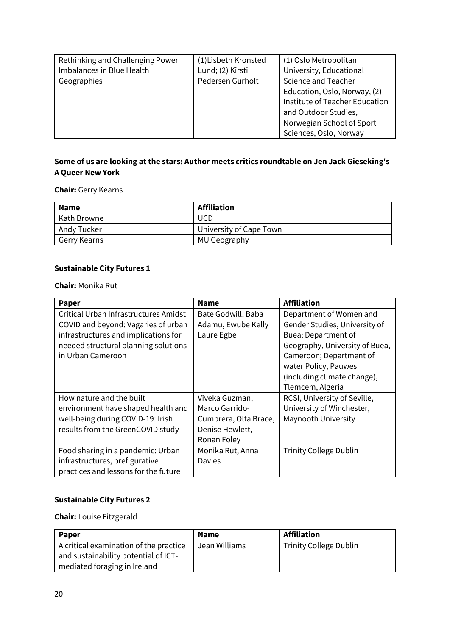| Rethinking and Challenging Power | (1) Lisbeth Kronsted | (1) Oslo Metropolitan          |
|----------------------------------|----------------------|--------------------------------|
|                                  |                      |                                |
| Imbalances in Blue Health        | Lund; (2) Kirsti     | University, Educational        |
| Geographies                      | Pedersen Gurholt     | <b>Science and Teacher</b>     |
|                                  |                      | Education, Oslo, Norway, (2)   |
|                                  |                      | Institute of Teacher Education |
|                                  |                      | and Outdoor Studies,           |
|                                  |                      | Norwegian School of Sport      |
|                                  |                      | Sciences, Oslo, Norway         |

#### **Some of us are looking at the stars: Author meets critics roundtable on Jen Jack Gieseking's A Queer New York**

#### **Chair:** Gerry Kearns

| <b>Name</b>  | Affiliation             |
|--------------|-------------------------|
| Kath Browne  | <b>UCD</b>              |
| Andy Tucker  | University of Cape Town |
| Gerry Kearns | MU Geography            |

#### **Sustainable City Futures 1**

**Chair:** Monika Rut

| Paper                                 | <b>Name</b>           | <b>Affiliation</b>             |
|---------------------------------------|-----------------------|--------------------------------|
| Critical Urban Infrastructures Amidst | Bate Godwill, Baba    | Department of Women and        |
| COVID and beyond: Vagaries of urban   | Adamu, Ewube Kelly    | Gender Studies, University of  |
| infrastructures and implications for  | Laure Egbe            | Buea; Department of            |
| needed structural planning solutions  |                       | Geography, University of Buea, |
| in Urban Cameroon                     |                       | Cameroon; Department of        |
|                                       |                       | water Policy, Pauwes           |
|                                       |                       | (including climate change),    |
|                                       |                       | Tlemcem, Algeria               |
| How nature and the built              | Viveka Guzman,        | RCSI, University of Seville,   |
| environment have shaped health and    | Marco Garrido-        | University of Winchester,      |
| well-being during COVID-19: Irish     | Cumbrera, Olta Brace, | Maynooth University            |
| results from the GreenCOVID study     | Denise Hewlett,       |                                |
|                                       | Ronan Foley           |                                |
| Food sharing in a pandemic: Urban     | Monika Rut, Anna      | <b>Trinity College Dublin</b>  |
| infrastructures, prefigurative        | Davies                |                                |
| practices and lessons for the future  |                       |                                |

#### **Sustainable City Futures 2**

**Chair:** Louise Fitzgerald

| <b>Paper</b>                           | <b>Name</b>   | <b>Affiliation</b>            |
|----------------------------------------|---------------|-------------------------------|
| A critical examination of the practice | Jean Williams | <b>Trinity College Dublin</b> |
| and sustainability potential of ICT-   |               |                               |
| mediated foraging in Ireland           |               |                               |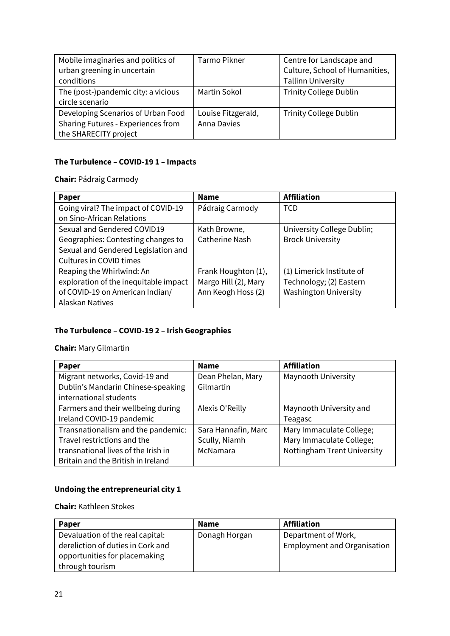| Mobile imaginaries and politics of  | <b>Tarmo Pikner</b> | Centre for Landscape and       |  |
|-------------------------------------|---------------------|--------------------------------|--|
| urban greening in uncertain         |                     | Culture, School of Humanities, |  |
| conditions                          |                     | <b>Tallinn University</b>      |  |
| The (post-)pandemic city: a vicious | Martin Sokol        | <b>Trinity College Dublin</b>  |  |
| circle scenario                     |                     |                                |  |
| Developing Scenarios of Urban Food  | Louise Fitzgerald,  | <b>Trinity College Dublin</b>  |  |
| Sharing Futures - Experiences from  | <b>Anna Davies</b>  |                                |  |
| the SHARECITY project               |                     |                                |  |

#### **The Turbulence – COVID-19 1 – Impacts**

**Chair:** Pádraig Carmody

| Paper                                 | <b>Name</b>           | <b>Affiliation</b>           |
|---------------------------------------|-----------------------|------------------------------|
| Going viral? The impact of COVID-19   | Pádraig Carmody       | <b>TCD</b>                   |
| on Sino-African Relations             |                       |                              |
| Sexual and Gendered COVID19           | Kath Browne,          | University College Dublin;   |
| Geographies: Contesting changes to    | <b>Catherine Nash</b> | <b>Brock University</b>      |
| Sexual and Gendered Legislation and   |                       |                              |
| Cultures in COVID times               |                       |                              |
| Reaping the Whirlwind: An             | Frank Houghton (1),   | (1) Limerick Institute of    |
| exploration of the inequitable impact | Margo Hill (2), Mary  | Technology; (2) Eastern      |
| of COVID-19 on American Indian/       | Ann Keogh Hoss (2)    | <b>Washington University</b> |
| Alaskan Natives                       |                       |                              |

#### **The Turbulence – COVID-19 2 – Irish Geographies**

**Chair:** Mary Gilmartin

| Paper                               | <b>Name</b>         | <b>Affiliation</b>          |
|-------------------------------------|---------------------|-----------------------------|
| Migrant networks, Covid-19 and      | Dean Phelan, Mary   | Maynooth University         |
| Dublin's Mandarin Chinese-speaking  | Gilmartin           |                             |
| international students              |                     |                             |
| Farmers and their wellbeing during  | Alexis O'Reilly     | Maynooth University and     |
| Ireland COVID-19 pandemic           |                     | Teagasc                     |
| Transnationalism and the pandemic:  | Sara Hannafin, Marc | Mary Immaculate College;    |
| Travel restrictions and the         | Scully, Niamh       | Mary Immaculate College;    |
| transnational lives of the Irish in | McNamara            | Nottingham Trent University |
| Britain and the British in Ireland  |                     |                             |

#### **Undoing the entrepreneurial city 1**

**Chair:** Kathleen Stokes

| <b>Paper</b>                      | <b>Name</b>   | Affiliation                        |
|-----------------------------------|---------------|------------------------------------|
| Devaluation of the real capital:  | Donagh Horgan | Department of Work,                |
| dereliction of duties in Cork and |               | <b>Employment and Organisation</b> |
| opportunities for placemaking     |               |                                    |
| through tourism                   |               |                                    |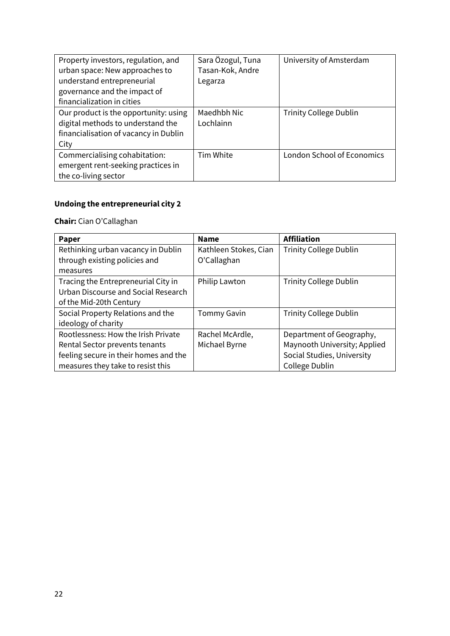| Property investors, regulation, and<br>urban space: New approaches to<br>understand entrepreneurial<br>governance and the impact of<br>financialization in cities | Sara Özogul, Tuna<br>Tasan-Kok, Andre<br>Legarza | University of Amsterdam           |
|-------------------------------------------------------------------------------------------------------------------------------------------------------------------|--------------------------------------------------|-----------------------------------|
| Our product is the opportunity: using<br>digital methods to understand the<br>financialisation of vacancy in Dublin<br>City                                       | Maedhbh Nic<br>Lochlainn                         | <b>Trinity College Dublin</b>     |
| Commercialising cohabitation:<br>emergent rent-seeking practices in<br>the co-living sector                                                                       | Tim White                                        | <b>London School of Economics</b> |

#### **Undoing the entrepreneurial city 2**

**Chair:** Cian O'Callaghan

| <b>Paper</b>                          | <b>Name</b>           | <b>Affiliation</b>            |
|---------------------------------------|-----------------------|-------------------------------|
| Rethinking urban vacancy in Dublin    | Kathleen Stokes, Cian | <b>Trinity College Dublin</b> |
| through existing policies and         | O'Callaghan           |                               |
| measures                              |                       |                               |
| Tracing the Entrepreneurial City in   | Philip Lawton         | <b>Trinity College Dublin</b> |
| Urban Discourse and Social Research   |                       |                               |
| of the Mid-20th Century               |                       |                               |
| Social Property Relations and the     | <b>Tommy Gavin</b>    | <b>Trinity College Dublin</b> |
| ideology of charity                   |                       |                               |
| Rootlessness: How the Irish Private   | Rachel McArdle,       | Department of Geography,      |
| Rental Sector prevents tenants        | Michael Byrne         | Maynooth University; Applied  |
| feeling secure in their homes and the |                       | Social Studies, University    |
| measures they take to resist this     |                       | College Dublin                |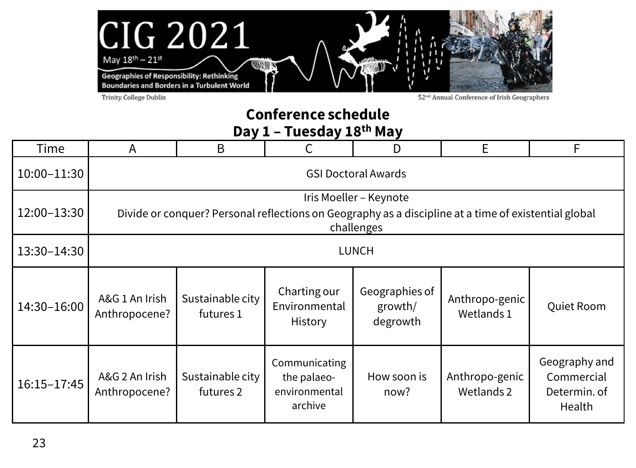

Trinity College Dublin

52<sup>nd</sup> Annual Conference of Irish Geographers

#### **Conference schedule Day 1 – Tuesday 18th May**

| Time        | A                               | B                                                                                                                                            |                                                          | D                                     | E                            | F                                                     |  |  |  |
|-------------|---------------------------------|----------------------------------------------------------------------------------------------------------------------------------------------|----------------------------------------------------------|---------------------------------------|------------------------------|-------------------------------------------------------|--|--|--|
| 10:00-11:30 | <b>GSI Doctoral Awards</b>      |                                                                                                                                              |                                                          |                                       |                              |                                                       |  |  |  |
| 12:00-13:30 |                                 | Iris Moeller - Keynote<br>Divide or conquer? Personal reflections on Geography as a discipline at a time of existential global<br>challenges |                                                          |                                       |                              |                                                       |  |  |  |
| 13:30-14:30 |                                 |                                                                                                                                              |                                                          | <b>LUNCH</b>                          |                              |                                                       |  |  |  |
| 14:30-16:00 | A&G 1 An Irish<br>Anthropocene? | Sustainable city<br>futures 1                                                                                                                | Charting our<br>Environmental<br>History                 | Geographies of<br>growth/<br>degrowth | Anthropo-genic<br>Wetlands 1 |                                                       |  |  |  |
| 16:15-17:45 | A&G 2 An Irish<br>Anthropocene? | Sustainable city<br>futures 2                                                                                                                | Communicating<br>the palaeo-<br>environmental<br>archive | How soon is<br>now?                   | Anthropo-genic<br>Wetlands 2 | Geography and<br>Commercial<br>Determin. of<br>Health |  |  |  |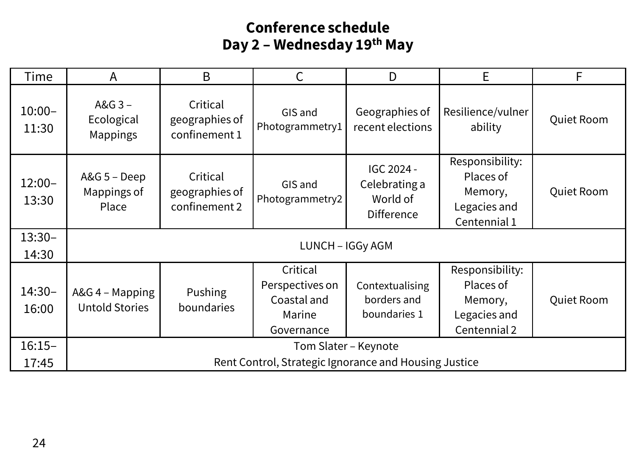#### **Conference schedule Day 2 – Wednesday 19th May**

| Time               | А                                                                             | B                                           |                                                                    | D                                                     | E                                                                       | F          |  |
|--------------------|-------------------------------------------------------------------------------|---------------------------------------------|--------------------------------------------------------------------|-------------------------------------------------------|-------------------------------------------------------------------------|------------|--|
| $10:00 -$<br>11:30 | A&G 3-<br>Ecological<br>Mappings                                              | Critical<br>geographies of<br>confinement 1 | GIS and<br>Photogrammetry1                                         | Geographies of<br>recent elections                    | Resilience/vulner<br>ability                                            | Quiet Room |  |
| $12:00 -$<br>13:30 | A&G 5 - Deep<br>Mappings of<br>Place                                          | Critical<br>geographies of<br>confinement 2 | GIS and<br>Photogrammetry2                                         | IGC 2024 -<br>Celebrating a<br>World of<br>Difference | Responsibility:<br>Places of<br>Memory,<br>Legacies and<br>Centennial 1 | Quiet Room |  |
| $13:30-$<br>14:30  |                                                                               |                                             | LUNCH - IGGy AGM                                                   |                                                       |                                                                         |            |  |
| $14:30-$<br>16:00  | A&G 4 - Mapping<br><b>Untold Stories</b>                                      | Pushing<br>boundaries                       | Critical<br>Perspectives on<br>Coastal and<br>Marine<br>Governance | Contextualising<br>borders and<br>boundaries 1        | Responsibility:<br>Places of<br>Memory,<br>Legacies and<br>Centennial 2 | Quiet Room |  |
| $16:15-$<br>17:45  | Tom Slater - Keynote<br>Rent Control, Strategic Ignorance and Housing Justice |                                             |                                                                    |                                                       |                                                                         |            |  |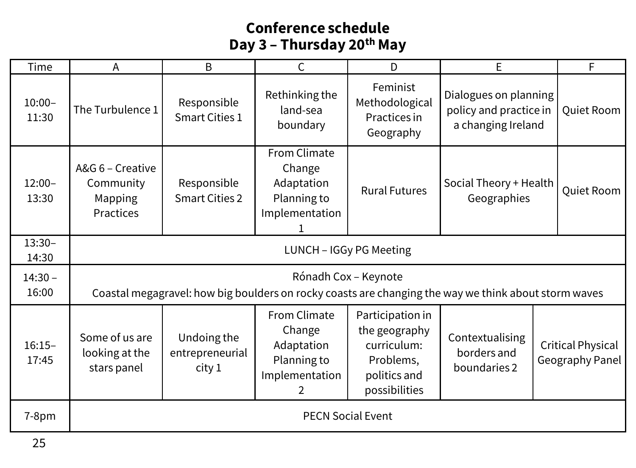#### **Conference schedule Day 3 – Thursday 20th May**

| Time               | A                                                     | B                                        | C                                                                          | D                                                                                              | E                                                                                                    |  | F                                    |
|--------------------|-------------------------------------------------------|------------------------------------------|----------------------------------------------------------------------------|------------------------------------------------------------------------------------------------|------------------------------------------------------------------------------------------------------|--|--------------------------------------|
| $10:00 -$<br>11:30 | The Turbulence 1                                      | Responsible<br>Smart Cities 1            | Rethinking the<br>land-sea<br>boundary                                     | Feminist<br>Methodological<br>Practices in<br>Geography                                        | Dialogues on planning<br>policy and practice in<br>a changing Ireland                                |  | Quiet Room                           |
| $12:00 -$<br>13:30 | A&G 6 – Creative<br>Community<br>Mapping<br>Practices | Responsible<br><b>Smart Cities 2</b>     | From Climate<br>Change<br>Adaptation<br>Planning to<br>Implementation      | <b>Rural Futures</b>                                                                           | Social Theory + Health<br>Geographies                                                                |  | Quiet Room                           |
| $13:30-$<br>14:30  | LUNCH - IGGy PG Meeting                               |                                          |                                                                            |                                                                                                |                                                                                                      |  |                                      |
| $14:30 -$<br>16:00 |                                                       |                                          |                                                                            | Rónadh Cox - Keynote                                                                           | Coastal megagravel: how big boulders on rocky coasts are changing the way we think about storm waves |  |                                      |
| $16:15-$<br>17:45  | Some of us are<br>looking at the<br>stars panel       | Undoing the<br>entrepreneurial<br>city 1 | From Climate<br>Change<br>Adaptation<br>Planning to<br>Implementation<br>2 | Participation in<br>the geography<br>curriculum:<br>Problems,<br>politics and<br>possibilities | Contextualising<br>borders and<br>boundaries 2                                                       |  | Critical Physical<br>Geography Panel |
| $7-8pm$            | <b>PECN Social Event</b>                              |                                          |                                                                            |                                                                                                |                                                                                                      |  |                                      |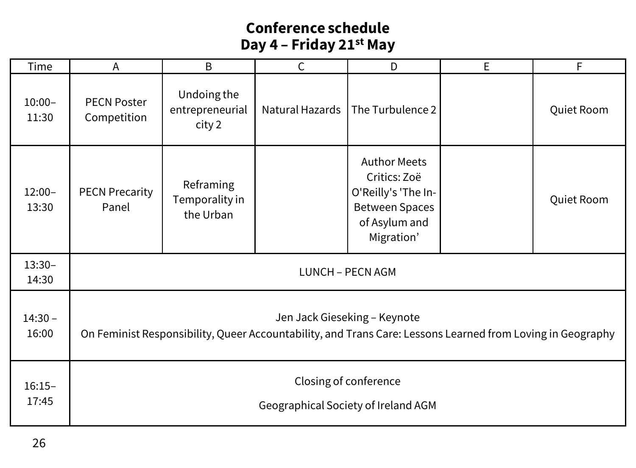#### **Conference schedule Day 4 – Friday 21st May**

| Time               | Α                                                                                                                                          | Β                                        | С               | D                                                                                                                  | E | F          |  |  |
|--------------------|--------------------------------------------------------------------------------------------------------------------------------------------|------------------------------------------|-----------------|--------------------------------------------------------------------------------------------------------------------|---|------------|--|--|
| $10:00 -$<br>11:30 | <b>PECN Poster</b><br>Competition                                                                                                          | Undoing the<br>entrepreneurial<br>city 2 | Natural Hazards | The Turbulence 2                                                                                                   |   | Quiet Room |  |  |
| $12:00 -$<br>13:30 | <b>PECN Precarity</b><br>Panel                                                                                                             | Reframing<br>Temporality in<br>the Urban |                 | <b>Author Meets</b><br>Critics: Zoë<br>O'Reilly's 'The In-<br><b>Between Spaces</b><br>of Asylum and<br>Migration' |   | Quiet Room |  |  |
| $13:30-$<br>14:30  | LUNCH - PECN AGM                                                                                                                           |                                          |                 |                                                                                                                    |   |            |  |  |
| $14:30 -$<br>16:00 | Jen Jack Gieseking - Keynote<br>On Feminist Responsibility, Queer Accountability, and Trans Care: Lessons Learned from Loving in Geography |                                          |                 |                                                                                                                    |   |            |  |  |
| $16:15-$<br>17:45  | Closing of conference<br>Geographical Society of Ireland AGM                                                                               |                                          |                 |                                                                                                                    |   |            |  |  |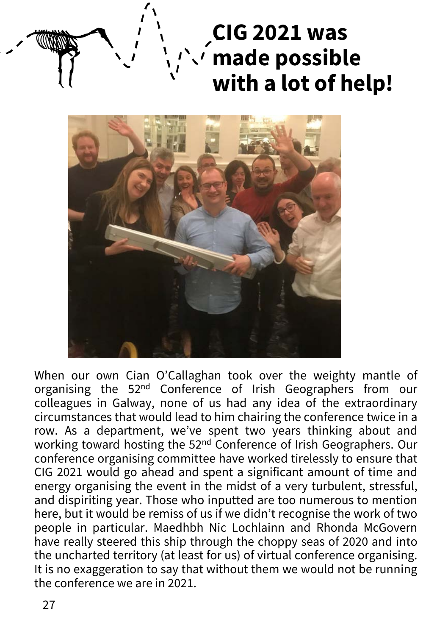# **CIG 2021 was made possible with a lot of help!**



When our own Cian O'Callaghan took over the weighty mantle of organising the 52nd Conference of Irish Geographers from our colleagues in Galway, none of us had any idea of the extraordinary circumstances that would lead to him chairing the conference twice in a row. As a department, we've spent two years thinking about and working toward hosting the 52nd Conference of Irish Geographers. Our conference organising committee have worked tirelessly to ensure that CIG 2021 would go ahead and spent a significant amount of time and energy organising the event in the midst of a very turbulent, stressful, and dispiriting year. Those who inputted are too numerous to mention here, but it would be remiss of us if we didn't recognise the work of two people in particular. Maedhbh Nic Lochlainn and Rhonda McGovern have really steered this ship through the choppy seas of 2020 and into the uncharted territory (at least for us) of virtual conference organising. It is no exaggeration to say that without them we would not be running the conference we are in 2021.